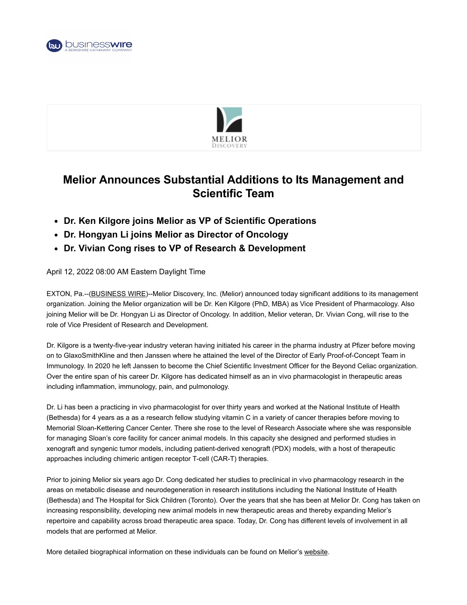



## **Melior Announces Substantial Additions to Its Management and Scientific Team**

- **Dr. Ken Kilgore joins Melior as VP of Scientific Operations**
- **Dr. Hongyan Li joins Melior as Director of Oncology**
- **Dr. Vivian Cong rises to VP of Research & Development**

## April 12, 2022 08:00 AM Eastern Daylight Time

EXTON, Pa.--[\(BUSINESS WIRE\)](https://www.businesswire.com/)--Melior Discovery, Inc. (Melior) announced today significant additions to its management organization. Joining the Melior organization will be Dr. Ken Kilgore (PhD, MBA) as Vice President of Pharmacology. Also joining Melior will be Dr. Hongyan Li as Director of Oncology. In addition, Melior veteran, Dr. Vivian Cong, will rise to the role of Vice President of Research and Development.

Dr. Kilgore is a twenty-five-year industry veteran having initiated his career in the pharma industry at Pfizer before moving on to GlaxoSmithKline and then Janssen where he attained the level of the Director of Early Proof-of-Concept Team in Immunology. In 2020 he left Janssen to become the Chief Scientific Investment Officer for the Beyond Celiac organization. Over the entire span of his career Dr. Kilgore has dedicated himself as an in vivo pharmacologist in therapeutic areas including inflammation, immunology, pain, and pulmonology.

Dr. Li has been a practicing in vivo pharmacologist for over thirty years and worked at the National Institute of Health (Bethesda) for 4 years as a as a research fellow studying vitamin C in a variety of cancer therapies before moving to Memorial Sloan-Kettering Cancer Center. There she rose to the level of Research Associate where she was responsible for managing Sloan's core facility for cancer animal models. In this capacity she designed and performed studies in xenograft and syngenic tumor models, including patient-derived xenograft (PDX) models, with a host of therapeutic approaches including chimeric antigen receptor T-cell (CAR-T) therapies.

Prior to joining Melior six years ago Dr. Cong dedicated her studies to preclinical in vivo pharmacology research in the areas on metabolic disease and neurodegeneration in research institutions including the National Institute of Health (Bethesda) and The Hospital for Sick Children (Toronto). Over the years that she has been at Melior Dr. Cong has taken on increasing responsibility, developing new animal models in new therapeutic areas and thereby expanding Melior's repertoire and capability across broad therapeutic area space. Today, Dr. Cong has different levels of involvement in all models that are performed at Melior.

More detailed biographical information on these individuals can be found on Melior's [website.](https://cts.businesswire.com/ct/CT?id=smartlink&url=https%3A%2F%2Fwww.meliordiscovery.com%2Fmanagement-team%2F&esheet=52678846&newsitemid=20220412005109&lan=en-US&anchor=website&index=1&md5=2b25a89a72d7df8ee2a8b5287f6bcb6c)